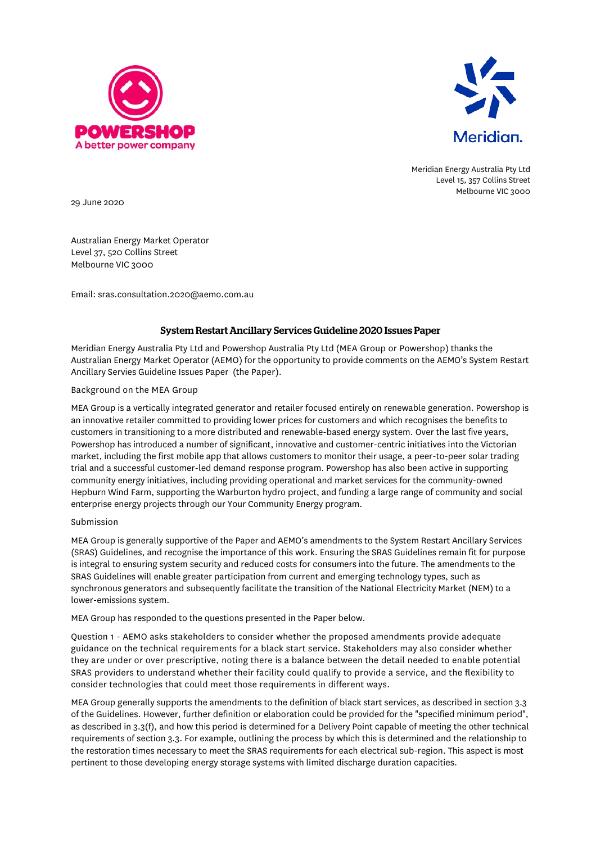



Meridian Energy Australia Pty Ltd Level 15, 357 Collins Street Melbourne VIC 3000

29 June 2020

Australian Energy Market Operator Level 37, 520 Collins Street Melbourne VIC 3000

Email: sras.consultation.2020@aemo.com.au

## System Restart Ancillary Services Guideline 2020 Issues Paper

Meridian Energy Australia Pty Ltd and Powershop Australia Pty Ltd (MEA Group or Powershop) thanks the Australian Energy Market Operator (AEMO) for the opportunity to provide comments on the AEMO's System Restart Ancillary Servies Guideline Issues Paper (the Paper).

## Background on the MEA Group

MEA Group is a vertically integrated generator and retailer focused entirely on renewable generation. Powershop is an innovative retailer committed to providing lower prices for customers and which recognises the benefits to customers in transitioning to a more distributed and renewable-based energy system. Over the last five years, Powershop has introduced a number of significant, innovative and customer-centric initiatives into the Victorian market, including the first mobile app that allows customers to monitor their usage, a peer-to-peer solar trading trial and a successful customer-led demand response program. Powershop has also been active in supporting community energy initiatives, including providing operational and market services for the community-owned Hepburn Wind Farm, supporting the Warburton hydro project, and funding a large range of community and social enterprise energy projects through our Your Community Energy program.

## Submission

MEA Group is generally supportive of the Paper and AEMO's amendments to the System Restart Ancillary Services (SRAS) Guidelines, and recognise the importance of this work. Ensuring the SRAS Guidelines remain fit for purpose is integral to ensuring system security and reduced costs for consumers into the future. The amendments to the SRAS Guidelines will enable greater participation from current and emerging technology types, such as synchronous generators and subsequently facilitate the transition of the National Electricity Market (NEM) to a lower-emissions system.

MEA Group has responded to the questions presented in the Paper below.

Question 1 - AEMO asks stakeholders to consider whether the proposed amendments provide adequate guidance on the technical requirements for a black start service. Stakeholders may also consider whether they are under or over prescriptive, noting there is a balance between the detail needed to enable potential SRAS providers to understand whether their facility could qualify to provide a service, and the flexibility to consider technologies that could meet those requirements in different ways.

MEA Group generally supports the amendments to the definition of black start services, as described in section 3.3 of the Guidelines. However, further definition or elaboration could be provided for the "specified minimum period", as described in 3.3(f), and how this period is determined for a Delivery Point capable of meeting the other technical requirements of section 3.3. For example, outlining the process by which this is determined and the relationship to the restoration times necessary to meet the SRAS requirements for each electrical sub-region. This aspect is most pertinent to those developing energy storage systems with limited discharge duration capacities.